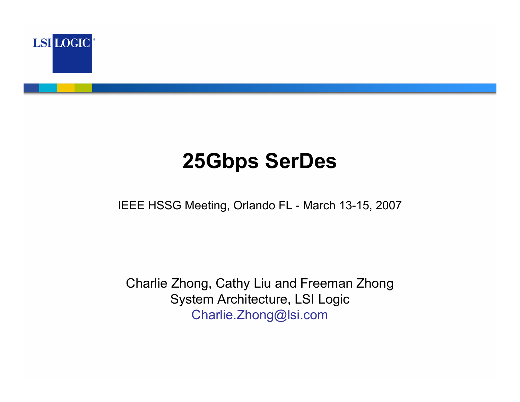

# **25Gbps SerDes**

IEEE HSSG Meeting, Orlando FL - March 13-15, 2007

Charlie Zhong, Cathy Liu and Freeman Zhong System Architecture, LSI Logic Charlie.Zhong@lsi.com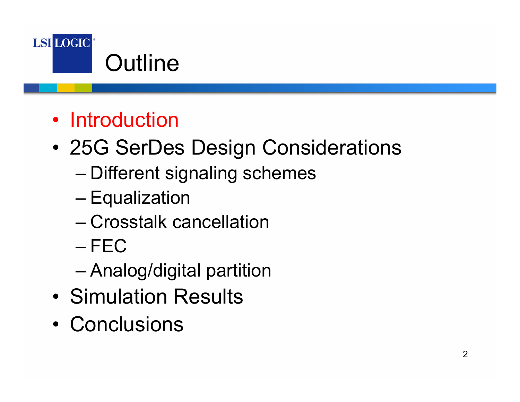

## • Introduction

- • 25G SerDes Design Considerations
	- Different signaling schemes
	- **Equalization**
	- Crosstalk cancellation
	- FEC
	- Analog/digital partition
- Simulation Results
- Conclusions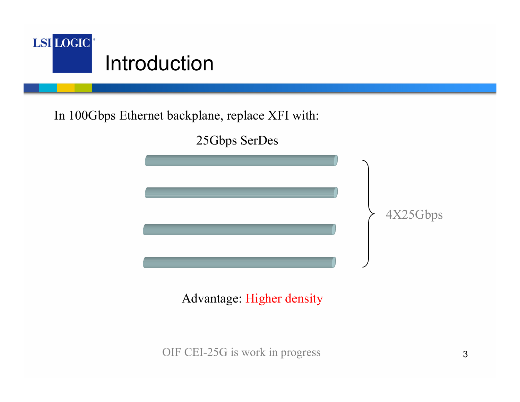

In 100Gbps Ethernet backplane, replace XFI with:



Advantage: Higher density

OIF CEI-25G is work in progress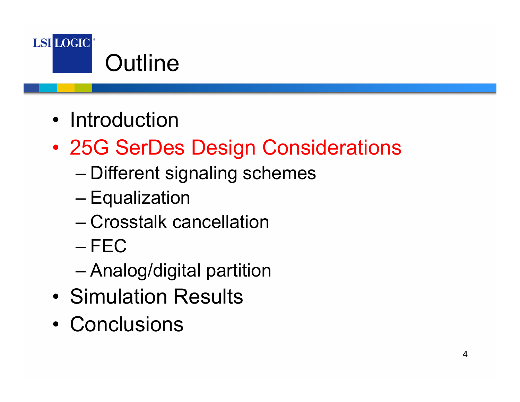

- Introduction
- • 25G SerDes Design Considerations
	- Different signaling schemes
	- **Equalization**
	- Crosstalk cancellation
	- FEC
	- Analog/digital partition
- Simulation Results
- Conclusions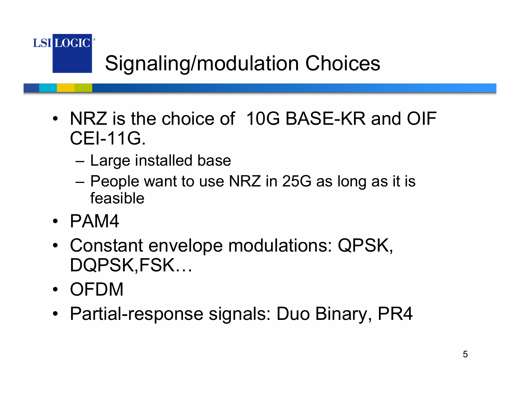**LSI LOGIC** 

# Signaling/modulation Choices

- NRZ is the choice of 10G BASE-KR and OIF CEI-11G.
	- Large installed base
	- People want to use NRZ in 25G as long as it is feasible
- PAM4
- Constant envelope modulations: QPSK, DQPSK,FSK…
- OFDM
- Partial-response signals: Duo Binary, PR4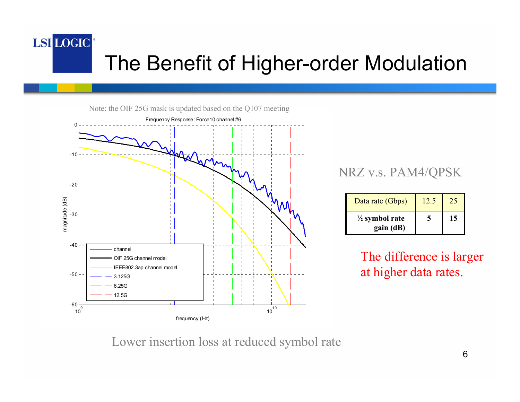### LSI LOGIC<sup>®</sup> The Benefit of Higher-order Modulation



#### NRZ v.s. PAM4/QPSK

| Data rate (Gbps)                       | 12.5 |    |
|----------------------------------------|------|----|
| $\frac{1}{2}$ symbol rate<br>gain (dB) |      | 15 |

The difference is larger at higher data rates.

Lower insertion loss at reduced symbol rate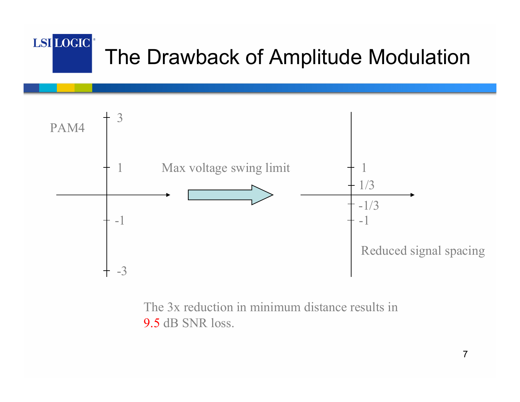#### LSI LOGIC<sup>®</sup> The Drawback of Amplitude Modulation



The 3x reduction in minimum distance results in 9.5 dB SNR loss.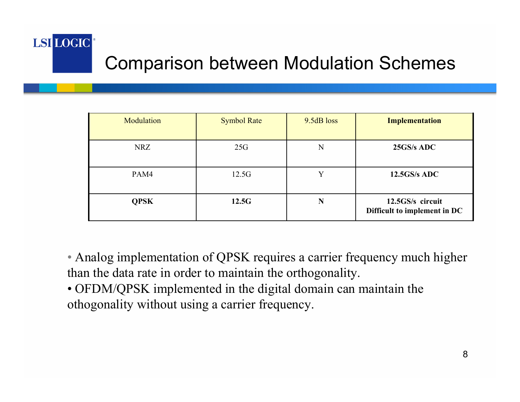# Comparison between Modulation Schemes

LSI LOGIC

| Modulation  | <b>Symbol Rate</b> | 9.5dB loss | <b>Implementation</b>                            |
|-------------|--------------------|------------|--------------------------------------------------|
| <b>NRZ</b>  | 25G                | N          | 25GS/s ADC                                       |
| PAM4        | 12.5G              |            | $12.5$ GS/s ADC                                  |
| <b>QPSK</b> | 12.5G              | N          | 12.5GS/s circuit<br>Difficult to implement in DC |

• Analog implementation of QPSK requires a carrier frequency much higher than the data rate in order to maintain the orthogonality.

• OFDM/QPSK implemented in the digital domain can maintain the othogonality without using a carrier frequency.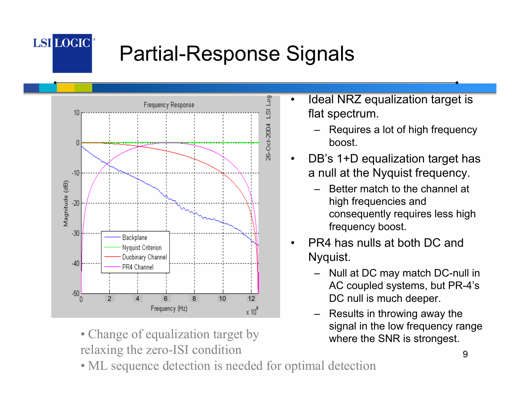

# Partial-Response Signals



• Change of equalization target by relaxing the zero-ISI condition

- • Ideal NRZ equalization target is flat spectrum.
	- Requires a lot of high frequency boost.
- • DB's 1+D equalization target has a null at the Nyquist frequency.
	- Better match to the channel at high frequencies and consequently requires less high frequency boost.
- • PR4 has nulls at both DC and Nyquist.
	- Null at DC may match DC-null in AC coupled systems, but PR-4's DC null is much deeper.
	- – Results in throwing away the signal in the low frequency range where the SNR is strongest.

• ML sequence detection is needed for optimal detection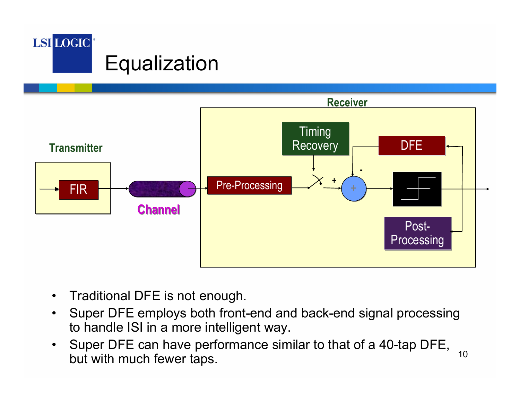



- •Traditional DFE is not enough.
- $\bullet$  Super DFE employs both front-end and back-end signal processing to handle ISI in a more intelligent way.
- 10 $\bullet$  Super DFE can have performance similar to that of a 40-tap DFE, but with much fewer taps.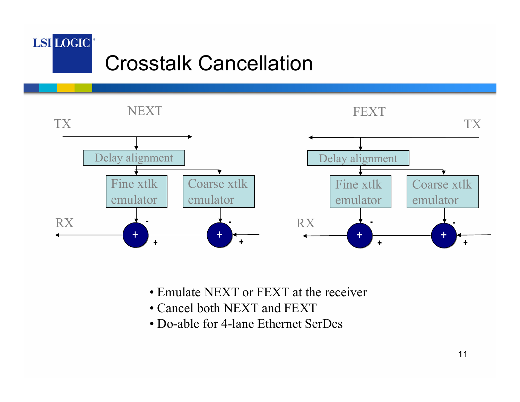### LSI LOGIC Crosstalk Cancellation



- Emulate NEXT or FEXT at the receiver
- Cancel both NEXT and FEXT
- Do-able for 4-lane Ethernet SerDes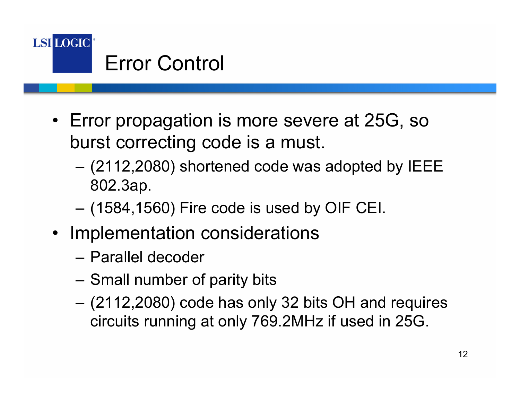

- Error propagation is more severe at 25G, so burst correcting code is a must.
	- (2112,2080) shortened code was adopted by IEEE 802.3ap.
	- (1584,1560) Fire code is used by OIF CEI.
- Implementation considerations
	- Parallel decoder
	- Small number of parity bits
	- (2112,2080) code has only 32 bits OH and requires circuits running at only 769.2MHz if used in 25G.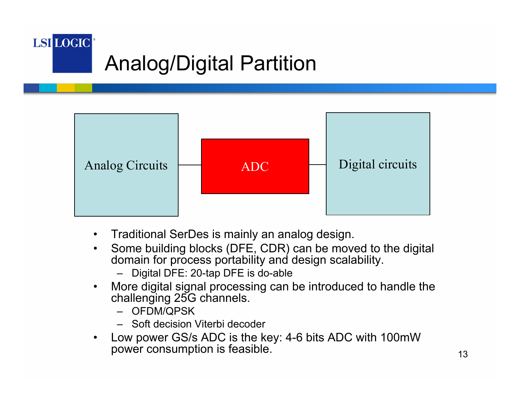



- •Traditional SerDes is mainly an analog design.
- • Some building blocks (DFE, CDR) can be moved to the digital domain for process portability and design scalability.
	- Digital DFE: 20-tap DFE is do-able
- • More digital signal processing can be introduced to handle the challenging 25G channels.
	- OFDM/QPSK
	- Soft decision Viterbi decoder
- • Low power GS/s ADC is the key: 4-6 bits ADC with 100mW power consumption is feasible.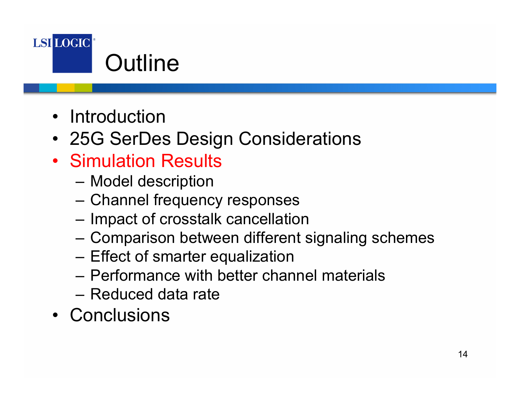

- Introduction
- 25G SerDes Design Considerations
- Simulation Results
	- –Model description
	- Channel frequency responses
	- Impact of crosstalk cancellation
	- –Comparison between different signaling schemes
	- Effect of smarter equalization
	- Performance with better channel materials
	- Reduced data rate
- Conclusions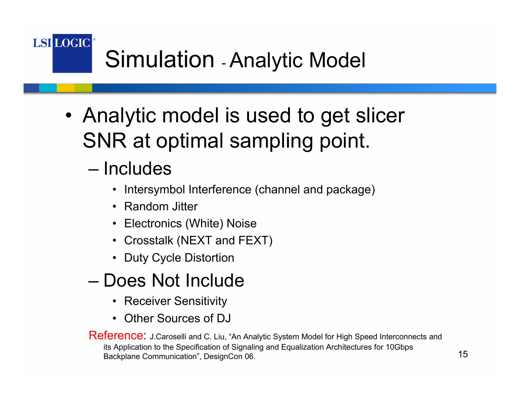**LSI LOGIC** Simulation - Analytic Model

> • Analytic model is used to get slicer SNR at optimal sampling point.

### – Includes

- Intersymbol Interference (channel and package)
- Random Jitter
- Electronics (White) Noise
- Crosstalk (NEXT and FEXT)
- Duty Cycle Distortion
- Does Not Include
	- Receiver Sensitivity
	- Other Sources of DJ

Reference: J.Caroselli and C. Liu, "An Analytic System Model for High Speed Interconnects and its Application to the Specification of Signaling and Equalization Architectures for 10Gbps Backplane Communication", DesignCon 06.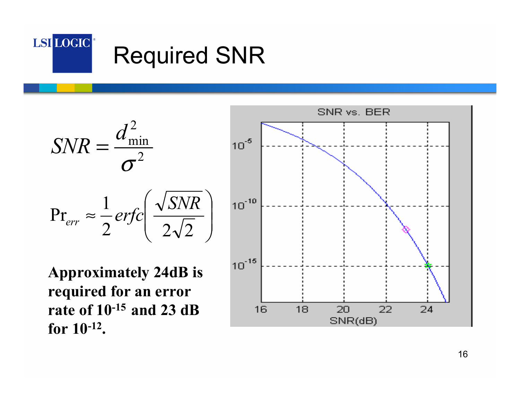

$$
SNR = \frac{d_{\min}^2}{\sigma^2}
$$

$$
Pr_{err} \approx \frac{1}{2} \text{erfc}\left(\frac{\sqrt{SNR}}{2\sqrt{2}}\right)
$$

**Approximately 24dB is required for an error rate of 10-15 and 23 dB for 10-12.** 

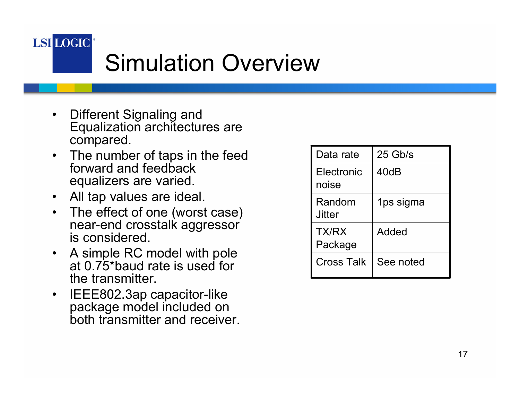

# Simulation Overview

- • Different Signaling and Equalization architectures are compared.
- The number of taps in the feed forward and feedback equalizers are varied.
- All tap values are ideal.
- • The effect of one (worst case) near-end crosstalk aggressor is considered.
- A simple RC model with pole at 0.75\*baud rate is used for the transmitter.
- • IEEE802.3ap capacitor-like package model included on both transmitter and receiver.

| Data rate           | $25$ Gb/s |
|---------------------|-----------|
| Electronic<br>noise | 40dB      |
| Random<br>Jitter    | 1ps sigma |
| TX/RX<br>Package    | Added     |
| <b>Cross Talk</b>   | See noted |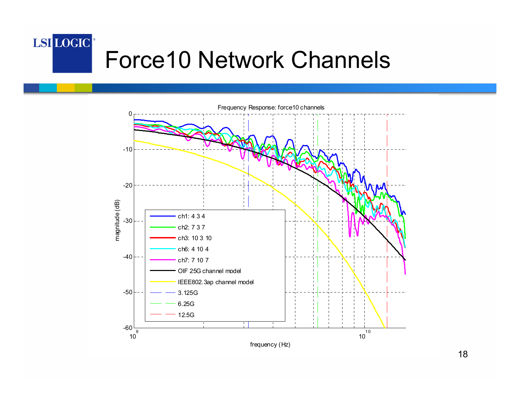#### LSI LOGIC<sup>®</sup> Force10 Network Channels

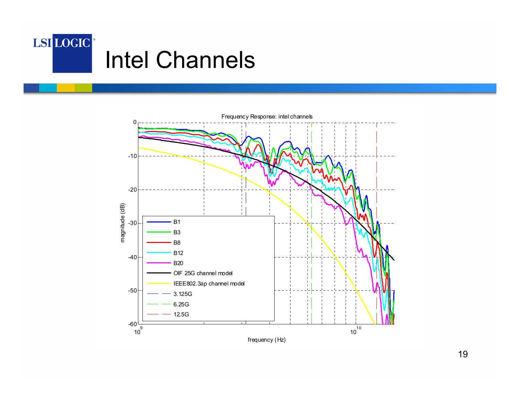



19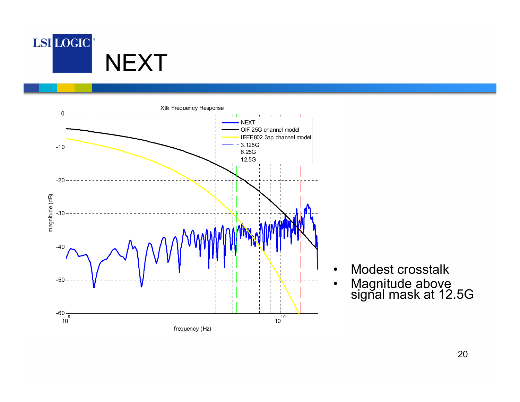



- •Modest crosstalk
- Magnitude above<br>signal mask at 12.5G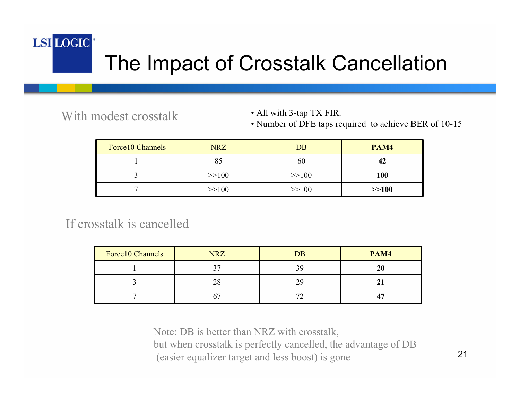### LSI LOGIC<sup>®</sup>

## The Impact of Crosstalk Cancellation

With modest crosstalk

• All with 3-tap TX FIR.

• Number of DFE taps required to achieve BER of 10-15

| Force 10 Channels | <b>NRZ</b> | <b>DB</b> | PAM4    |
|-------------------|------------|-----------|---------|
|                   |            | 60        | 42      |
|                   | >>100      | >>100     | 100     |
|                   | >>100      | >>100     | $>>100$ |

If crosstalk is cancelled

| Force10 Channels | <b>NRZ</b> | <b>DB</b>    | PAM4 |
|------------------|------------|--------------|------|
|                  |            | 39           |      |
|                  |            | າເ           |      |
|                  |            | $\mathbf{r}$ |      |

Note: DB is better than NRZ with crosstalk, but when crosstalk is perfectly cancelled, the advantage of DB (easier equalizer target and less boost) is gone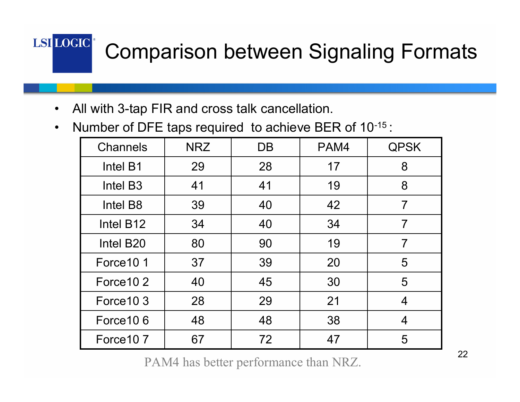# Comparison between Signaling Formats

•All with 3-tap FIR and cross talk cancellation.

LSI LOGIC<sup>®</sup>

 $\bullet$ Number of DFE taps required to achieve BER of 10-15 :

| <b>Channels</b>       | <b>NRZ</b> | DB | PAM4 | <b>QPSK</b>              |
|-----------------------|------------|----|------|--------------------------|
| Intel B1              | 29         | 28 | 17   | 8                        |
| Intel B <sub>3</sub>  | 41         | 41 | 19   | 8                        |
| Intel B8              | 39         | 40 | 42   | $\overline{7}$           |
| Intel B12             | 34         | 40 | 34   | 7                        |
| Intel B <sub>20</sub> | 80         | 90 | 19   |                          |
| Force 10 1            | 37         | 39 | 20   | 5                        |
| Force 10 2            | 40         | 45 | 30   | 5                        |
| Force 10 3            | 28         | 29 | 21   | $\overline{\mathcal{A}}$ |
| Force 10 6            | 48         | 48 | 38   | 4                        |
| Force 10 7            | 67         | 72 | 47   | 5                        |

PAM4 has better performance than NRZ.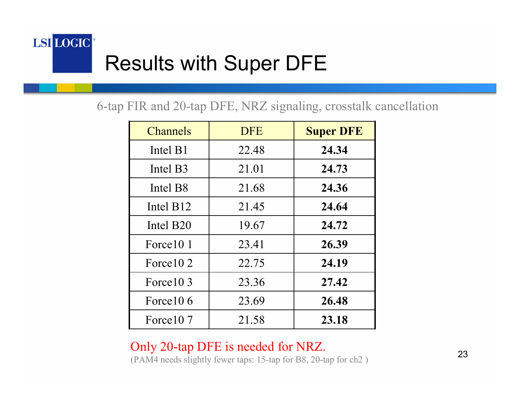### LSI LOGIC<sup>®</sup> Results with Super DFE

6-tap FIR and 20-tap DFE, NRZ signaling, crosstalk cancellation

| <b>Channels</b>       | <b>DFE</b> | <b>Super DFE</b> |
|-----------------------|------------|------------------|
| Intel B1              | 22.48      | 24.34            |
| Intel B3              | 21.01      | 24.73            |
| Intel B <sub>8</sub>  | 21.68      | 24.36            |
| Intel B <sub>12</sub> | 21.45      | 24.64            |
| Intel B <sub>20</sub> | 19.67      | 24.72            |
| Force 10 1            | 23.41      | 26.39            |
| Force 10 2            | 22.75      | 24.19            |
| Force 10 3            | 23.36      | 27.42            |
| Force 10 6            | 23.69      | 26.48            |
| Force 10 7            | 21.58      | 23.18            |

Only 20-tap DFE is needed for NRZ. (PAM4 needs slightly fewer taps: 15-tap for B8, 20-tap for ch2 )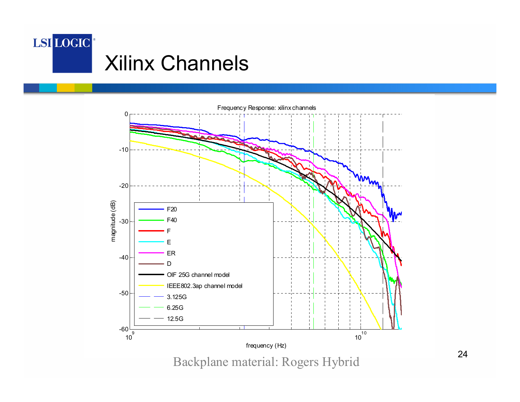



Backplane material: Rogers Hybrid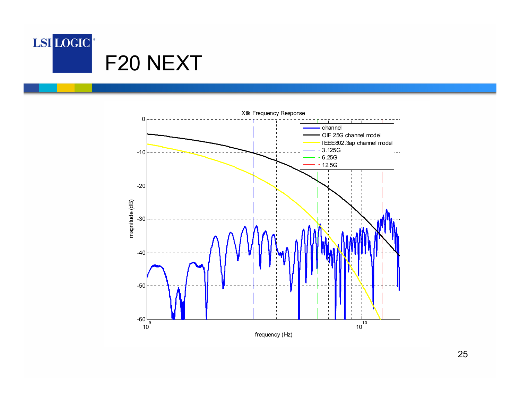



25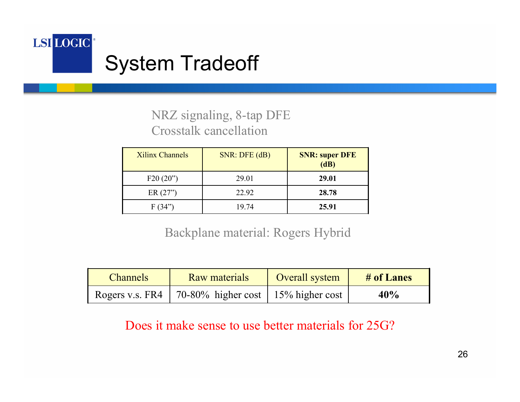

#### NRZ signaling, 8-tap DFE Crosstalk cancellation

| <b>Xilinx Channels</b> | $SNR$ : DFE $(dB)$ | <b>SNR: super DFE</b><br>(dB) |
|------------------------|--------------------|-------------------------------|
| F20(20")               | 29.01              | 29.01                         |
| ER(27")                | 22.92              | 28.78                         |
| F(34)                  | 19 74              | 25.91                         |

Backplane material: Rogers Hybrid

| <b>Channels</b>   | <b>Raw materials</b>                    | Overall system | # of Lanes |
|-------------------|-----------------------------------------|----------------|------------|
| Rogers v.s. $FR4$ | 70-80% higher cost   $15\%$ higher cost |                | 40%        |

Does it make sense to use better materials for 25G?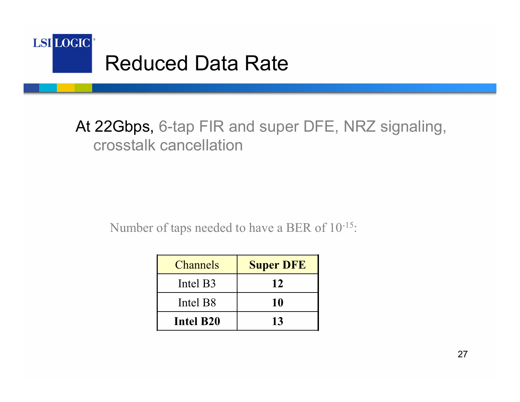

#### At 22Gbps, 6-tap FIR and super DFE, NRZ signaling, crosstalk cancellation

Number of taps needed to have a BER of 10-15:

| <b>Channels</b>      | <b>Super DFE</b> |
|----------------------|------------------|
| Intel B3             | 12               |
| Intel B <sub>8</sub> | 10               |
| Intel B20            | 13               |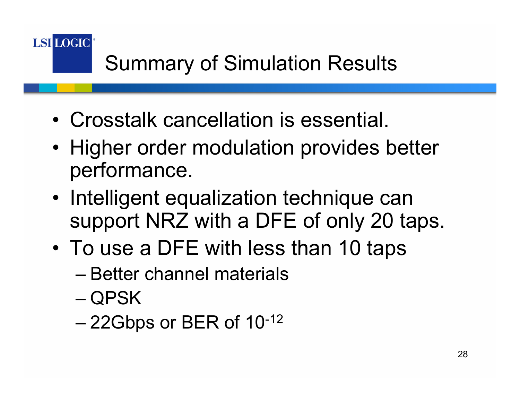**LSI LOGIC** 

# Summary of Simulation Results

- Crosstalk cancellation is essential.
- Higher order modulation provides better performance.
- Intelligent equalization technique can support NRZ with a DFE of only 20 taps.
- To use a DFE with less than 10 taps
	- Better channel materials
	- QPSK
	- 22Gbps or BER of 10-12